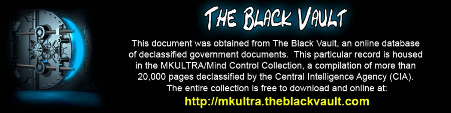

This document was obtained from The Black Vault, an online database of declassified government documents. This particular record is housed in the MKULTRA/Mind Control Collection, a compilation of more than 20,000 pages declassified by the Central Intelligence Agency (CIA). The entire collection is free to download and online at: http://mkultra.theblackvault.com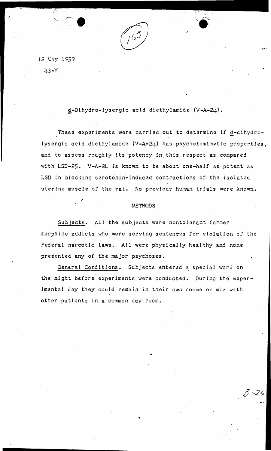. Also,  $\mathcal{N}$ \x..'"~.:;\' ,.

12 May 1959 43-Y

•

d-Dihydro-lysergic acid diethylamide (V-A-24).

These experiments were carried out to determine if d-dihydrolysergic acid diethylamide  $(V-A-24)$  has psychotomimetic properties, and to assess roughly its potency in this respect as compared with LSD-25. V-A-24 is known to be about one-half as potent as LSD in blocking serotonin-induced contractions of- the isolated uterine muscle of the rat. No previous human trials were known.

## **METHODS**

Subjects. All the subjects were nontolerant former morphine addicts who were serving sentences for violation of the Federal narcotic laws. All were physically healthy and none presented any of the major psychoses.

General Conditions. Subjects entered a special ward on the night before experiments were conducted. During the experimental day they could remain in their own rooms or mix with other patients in a common day room.

...

 $8 - 24$  $\mathcal{D}$   $\prec$   $\approx$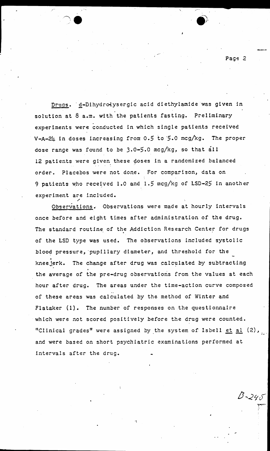Drugs. d-Dihydrolysergic acid diethylamide was given in solution at 8 a.m. with the patients fasting. Preliminary experiments were conducted in which single patients received V-A-24 in doses increasing from 0.5 to 5.0 mcg/kg. The proper dose range was found to be 3.0-5.0 mcg/kg, so that all 12 patients were given these doses in a randomized balanced order. Placebos were not done. For comparison, data on 9 patients who received 1.0 and 1.5 meg/kg of LSD-25 in aneth er experiment are included.

Observations. Observations were made at hourly intervals once before and eight times after administration of the drug. The standard routine of the Addiction Research Center for drugs of the LSD type was used. The observations included systolic blood pressure, pupillary diameter, and threshold for the *,,* kneejerk. The change after drug was calculated by subtracting the average of the pre-drug observations from the values at each hour after drug. The areas under the time-action curve composed .. of these areas was calculated by the method of Winter and Flataker (1}. The number of responses on the questionnaire which were not scored positively before the drug were counted. "Clinical grades" were assigned by the system of Isbell  $et$   $al$   $(2)$ , and were based on short psychiatric examinations performed at intervals after the drug.

Page 2

 $B - 240$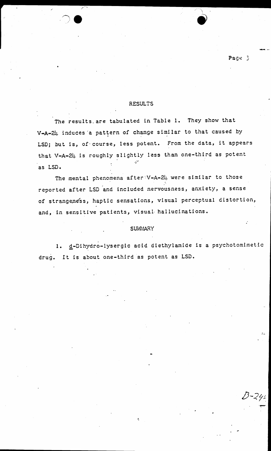## RESULTS

Page 3

---

The results are tabulated in Table 1. They show that V-A-24 induces a pattern of change similar to that caused by LSD; but is, of·course, less potent. From the data, it appears that V-A-24 is roughly slightly less than one-third as potent as LSD.

The mental phenomena after: V-A-24 were similar to those reported after LSD and included nervousness, anxiety, a sense of strangeness, haptic sensations, visual perceptual distortion, and, in sensitive patients, visual· hallucinations.

## **SUMMARY**

•\

1. d-Dihydro-lysergic acid diethylamide is a psychotomimetic drug. It is about one-third as potent as LSD.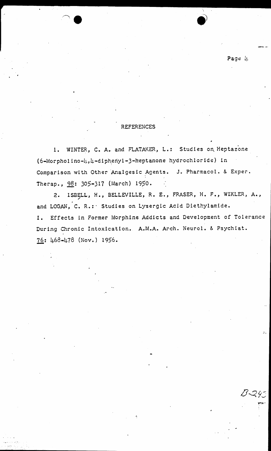Page h

## **REFERENCES**

1. WINTER, C. A. and FLATAKER, L.: Studies on Heptazone  $(6 - \text{Morpholino-}l, l + - \text{dipheny1} - 3 - \text{heptanone hydrochloride})$  in Comparison with Other Analgesic Agents. J. Pharmacol. & Exper. Therap., 98: 305-317 (March) 1950.

2. ISBELL, H., BELLEVILLE, R. E., FRASER, H. F., WIKLER, A., and LOGAN, C. R.: Studies on Lysergic Acid Diethylamide. Effects in Former Morphine Addicts and Development of Tolerance  $I.$ During Chronic Intoxication. A.M.A. Arch. Neurol. & Psychiat. 76: 468-478 (Nov.) 1956.